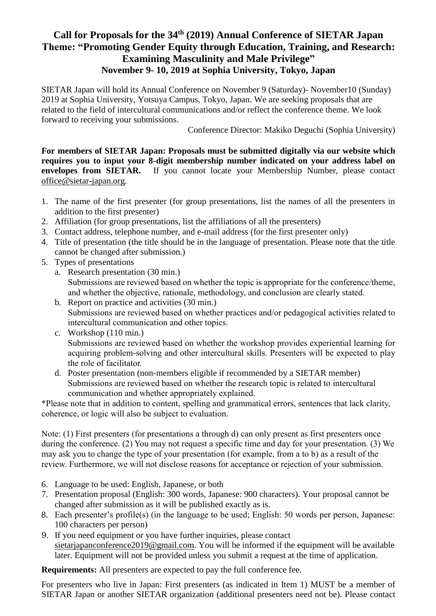## **Call for Proposals for the 34th (2019) Annual Conference of SIETAR Japan Theme: "Promoting Gender Equity through Education, Training, and Research: Examining Masculinity and Male Privilege" November 9- 10, 2019 at Sophia University, Tokyo, Japan**

SIETAR Japan will hold its Annual Conference on November 9 (Saturday)- November10 (Sunday) 2019 at Sophia University, Yotsuya Campus, Tokyo, Japan. We are seeking proposals that are related to the field of intercultural communications and/or reflect the conference theme. We look forward to receiving your submissions.

Conference Director: Makiko Deguchi (Sophia University)

**For members of SIETAR Japan: Proposals must be submitted digitally via our website which requires you to input your 8-digit membership number indicated on your address label on envelopes from SIETAR.** If you cannot locate your Membership Number, please contact [office@sietar-japan.org.](mailto:office@sietar-japan.org)

- 1. The name of the first presenter (for group presentations, list the names of all the presenters in addition to the first presenter)
- 2. Affiliation (for group presentations, list the affiliations of all the presenters)
- 3. Contact address, telephone number, and e-mail address (for the first presenter only)
- 4. Title of presentation (the title should be in the language of presentation. Please note that the title cannot be changed after submission.)
- 5. Types of presentations
	- a. Research presentation (30 min.) Submissions are reviewed based on whether the topic is appropriate for the conference/theme, and whether the objective, rationale, methodology, and conclusion are clearly stated.
	- b. Report on practice and activities (30 min.) Submissions are reviewed based on whether practices and/or pedagogical activities related to intercultural communication and other topics.
	- c. Workshop (110 min.) Submissions are reviewed based on whether the workshop provides experiential learning for acquiring problem-solving and other intercultural skills. Presenters will be expected to play the role of facilitator.
	- d. Poster presentation (non-members eligible if recommended by a SIETAR member) Submissions are reviewed based on whether the research topic is related to intercultural communication and whether appropriately explained.

\*Please note that in addition to content, spelling and grammatical errors, sentences that lack clarity, coherence, or logic will also be subject to evaluation.

Note: (1) First presenters (for presentations a through d) can only present as first presenters once during the conference. (2) You may not request a specific time and day for your presentation. (3) We may ask you to change the type of your presentation (for example, from a to b) as a result of the review. Furthermore, we will not disclose reasons for acceptance or rejection of your submission.

- 6. Language to be used: English, Japanese, or both
- 7. Presentation proposal (English: 300 words, Japanese: 900 characters). Your proposal cannot be changed after submission as it will be published exactly as is.
- 8. Each presenter's profile(s) (in the language to be used; English: 50 words per person, Japanese: 100 characters per person)
- 9. If you need equipment or you have further inquiries, please contact [sietarjapanconference2019@gmail.com.](mailto:sietarjapanconference2019@gmail.com) You will be informed if the equipment will be available later. Equipment will not be provided unless you submit a request at the time of application.

**Requirements:** All presenters are expected to pay the full conference fee.

For presenters who live in Japan: First presenters (as indicated in Item 1) MUST be a member of SIETAR Japan or another SIETAR organization (additional presenters need not be). Please contact